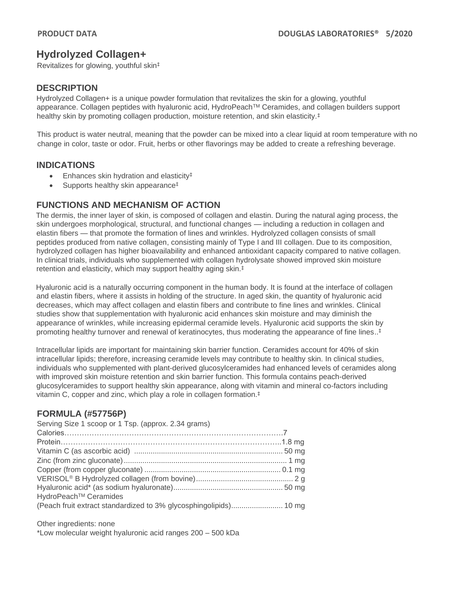# **Hydrolyzed Collagen+**

Revitalizes for glowing, youthful skin‡

### **DESCRIPTION**

Hydrolyzed Collagen+ is a unique powder formulation that revitalizes the skin for a glowing, youthful appearance. Collagen peptides with hyaluronic acid, HydroPeach™ Ceramides, and collagen builders support healthy skin by promoting collagen production, moisture retention, and skin elasticity.<sup>‡</sup>

This product is water neutral, meaning that the powder can be mixed into a clear liquid at room temperature with no change in color, taste or odor. Fruit, herbs or other flavorings may be added to create a refreshing beverage.

#### **INDICATIONS**

- Enhances skin hydration and elasticity<sup>‡</sup>
- Supports healthy skin appearance<sup>‡</sup>

## **FUNCTIONS AND MECHANISM OF ACTION**

The dermis, the inner layer of skin, is composed of collagen and elastin. During the natural aging process, the skin undergoes morphological, structural, and functional changes — including a reduction in collagen and elastin fibers — that promote the formation of lines and wrinkles. Hydrolyzed collagen consists of small peptides produced from native collagen, consisting mainly of Type I and III collagen. Due to its composition, hydrolyzed collagen has higher bioavailability and enhanced antioxidant capacity compared to native collagen. In clinical trials, individuals who supplemented with collagen hydrolysate showed improved skin moisture retention and elasticity, which may support healthy aging skin.‡

Hyaluronic acid is a naturally occurring component in the human body. It is found at the interface of collagen and elastin fibers, where it assists in holding of the structure. In aged skin, the quantity of hyaluronic acid decreases, which may affect collagen and elastin fibers and contribute to fine lines and wrinkles. Clinical studies show that supplementation with hyaluronic acid enhances skin moisture and may diminish the appearance of wrinkles, while increasing epidermal ceramide levels. Hyaluronic acid supports the skin by promoting healthy turnover and renewal of keratinocytes, thus moderating the appearance of fine lines.. ‡

Intracellular lipids are important for maintaining skin barrier function. Ceramides account for 40% of skin intracellular lipids; therefore, increasing ceramide levels may contribute to healthy skin. In clinical studies, individuals who supplemented with plant-derived glucosylceramides had enhanced levels of ceramides along with improved skin moisture retention and skin barrier function. This formula contains peach-derived glucosylceramides to support healthy skin appearance, along with vitamin and mineral co-factors including vitamin C, copper and zinc, which play a role in collagen formation.‡

## **FORMULA (#57756P)**

| Serving Size 1 scoop or 1 Tsp. (approx. 2.34 grams) |  |
|-----------------------------------------------------|--|
|                                                     |  |
|                                                     |  |
|                                                     |  |
|                                                     |  |
|                                                     |  |
|                                                     |  |
|                                                     |  |
| HydroPeach <sup>™</sup> Ceramides                   |  |
|                                                     |  |

Other ingredients: none \*Low molecular weight hyaluronic acid ranges 200 – 500 kDa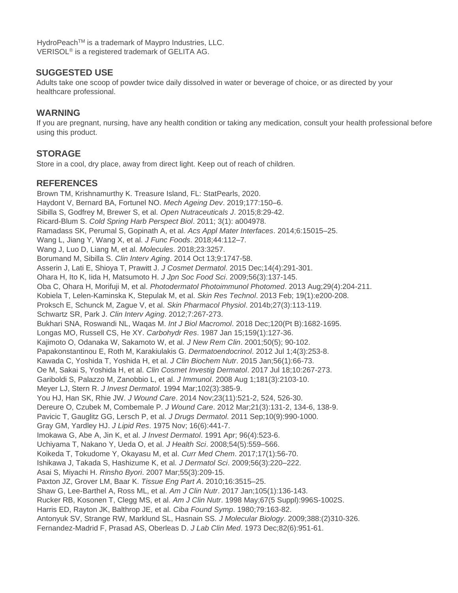HydroPeach™ is a trademark of Maypro Industries, LLC. VERISOL® is a registered trademark of GELITA AG.

#### **SUGGESTED USE**

Adults take one scoop of powder twice daily dissolved in water or beverage of choice, or as directed by your healthcare professional.

#### **WARNING**

If you are pregnant, nursing, have any health condition or taking any medication, consult your health professional before using this product.

### **STORAGE**

Store in a cool, dry place, away from direct light. Keep out of reach of children.

#### **REFERENCES**

Brown TM, Krishnamurthy K. Treasure Island, FL: StatPearls, 2020. Haydont V, Bernard BA, Fortunel NO. *Mech Ageing Dev*. 2019;177:150–6. Sibilla S, Godfrey M, Brewer S, et al. *Open Nutraceuticals J*. 2015;8:29-42. Ricard-Blum S. *Cold Spring Harb Perspect Biol*. 2011; 3(1): a004978. Ramadass SK, Perumal S, Gopinath A, et al. *Acs Appl Mater Interfaces*. 2014;6:15015–25. Wang L, Jiang Y, Wang X, et al. *J Func Foods*. 2018;44:112–7. Wang J, Luo D, Liang M, et al. *Molecules*. 2018;23:3257. Borumand M, Sibilla S. *Clin Interv Aging*. 2014 Oct 13;9:1747-58. Asserin J, Lati E, Shioya T, Prawitt J. *J Cosmet Dermatol*. 2015 Dec;14(4):291-301. Ohara H, Ito K, Iida H, Matsumoto H. *J Jpn Soc Food Sci*. 2009;56(3):137-145. Oba C, Ohara H, Morifuji M, et al. *Photodermatol Photoimmunol Photomed*. 2013 Aug;29(4):204-211. Kobiela T, Lelen-Kaminska K, Stepulak M, et al. *Skin Res Technol*. 2013 Feb; 19(1):e200-208. Proksch E, Schunck M, Zague V, et al. *Skin Pharmacol Physiol*. 2014b;27(3):113-119. Schwartz SR, Park J. *Clin Interv Aging*. 2012;7:267-273. Bukhari SNA, Roswandi NL, Waqas M. *Int J Biol Macromol*. 2018 Dec;120(Pt B):1682-1695. Longas MO, Russell CS, He XY. *Carbohydr Res*. 1987 Jan 15;159(1):127-36. Kajimoto O, Odanaka W, Sakamoto W, et al. *J New Rem Clin*. 2001;50(5); 90-102. Papakonstantinou E, Roth M, Karakiulakis G. *Dermatoendocrinol*. 2012 Jul 1;4(3):253-8. Kawada C, Yoshida T, Yoshida H, et al. *J Clin Biochem Nutr*. 2015 Jan;56(1):66-73. Oe M, Sakai S, Yoshida H, et al. *Clin Cosmet Investig Dermatol*. 2017 Jul 18;10:267-273. Gariboldi S, Palazzo M, Zanobbio L, et al. *J Immunol*. 2008 Aug 1;181(3):2103-10. Meyer LJ, Stern R. *J Invest Dermatol*. 1994 Mar;102(3):385-9. You HJ, Han SK, Rhie JW. *J Wound Care*. 2014 Nov;23(11):521-2, 524, 526-30. Dereure O, Czubek M, Combemale P. *J Wound Care*. 2012 Mar;21(3):131-2, 134-6, 138-9. Pavicic T, Gauglitz GG, Lersch P, et al. *J Drugs Dermatol*. 2011 Sep;10(9):990-1000. Gray GM, Yardley HJ. *J Lipid Res*. 1975 Nov; 16(6):441-7. Imokawa G, Abe A, Jin K, et al. *J Invest Dermatol*. 1991 Apr; 96(4):523-6. Uchiyama T, Nakano Y, Ueda O, et al. *J Health Sci*. 2008;54(5):559–566. Koikeda T, Tokudome Y, Okayasu M, et al. *Curr Med Chem*. 2017;17(1):56-70. Ishikawa J, Takada S, Hashizume K, et al*. J Dermatol Sci*. 2009;56(3):220–222. Asai S, Miyachi H. *Rinsho Byori*. 2007 Mar;55(3):209-15. Paxton JZ, Grover LM, Baar K. *Tissue Eng Part A*. 2010;16:3515–25. Shaw G, Lee-Barthel A, Ross ML, et al. *Am J Clin Nutr*. 2017 Jan;105(1):136-143. Rucker RB, Kosonen T, Clegg MS, et al. *Am J Clin Nutr*. 1998 May;67(5 Suppl):996S-1002S. Harris ED, Rayton JK, Balthrop JE, et al. *Ciba Found Symp*. 1980;79:163-82. Antonyuk SV, Strange RW, Marklund SL, Hasnain SS. *J Molecular Biology*. 2009;388:(2)310-326. Fernandez-Madrid F, Prasad AS, Oberleas D. *J Lab Clin Med*. 1973 Dec;82(6):951-61.